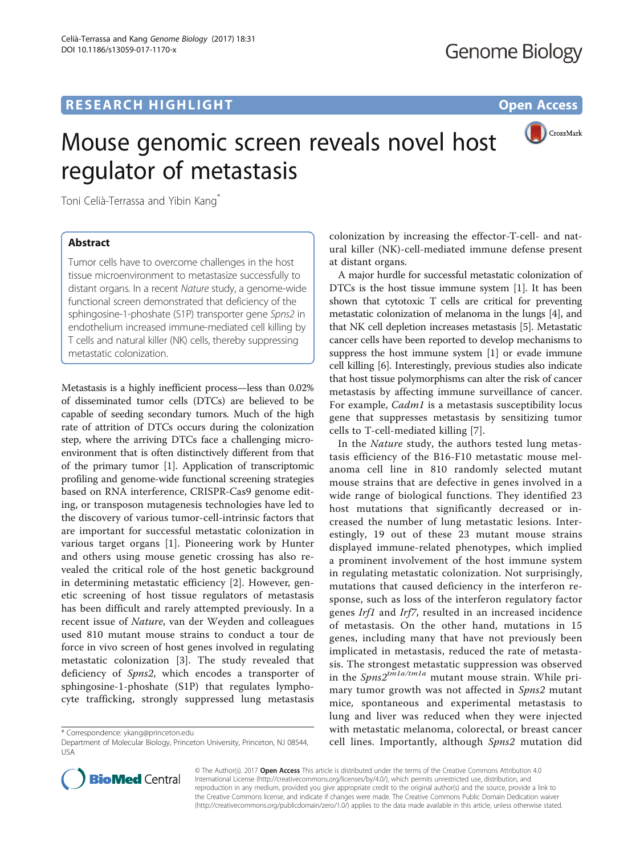

# Mouse genomic screen reveals novel host regulator of metastasis

Toni Celià-Terrassa and Yibin Kang<sup>\*</sup>

## **Abstract**

Tumor cells have to overcome challenges in the host tissue microenvironment to metastasize successfully to distant organs. In a recent Nature study, a genome-wide functional screen demonstrated that deficiency of the sphingosine-1-phoshate (S1P) transporter gene Spns2 in endothelium increased immune-mediated cell killing by T cells and natural killer (NK) cells, thereby suppressing metastatic colonization.

Metastasis is a highly inefficient process—less than 0.02% of disseminated tumor cells (DTCs) are believed to be capable of seeding secondary tumors. Much of the high rate of attrition of DTCs occurs during the colonization step, where the arriving DTCs face a challenging microenvironment that is often distinctively different from that of the primary tumor [\[1](#page-2-0)]. Application of transcriptomic profiling and genome-wide functional screening strategies based on RNA interference, CRISPR-Cas9 genome editing, or transposon mutagenesis technologies have led to the discovery of various tumor-cell-intrinsic factors that are important for successful metastatic colonization in various target organs [[1\]](#page-2-0). Pioneering work by Hunter and others using mouse genetic crossing has also revealed the critical role of the host genetic background in determining metastatic efficiency [\[2](#page-2-0)]. However, genetic screening of host tissue regulators of metastasis has been difficult and rarely attempted previously. In a recent issue of Nature, van der Weyden and colleagues used 810 mutant mouse strains to conduct a tour de force in vivo screen of host genes involved in regulating metastatic colonization [[3](#page-2-0)]. The study revealed that deficiency of Spns2, which encodes a transporter of sphingosine-1-phoshate (S1P) that regulates lymphocyte trafficking, strongly suppressed lung metastasis



A major hurdle for successful metastatic colonization of DTCs is the host tissue immune system [\[1\]](#page-2-0). It has been shown that cytotoxic T cells are critical for preventing metastatic colonization of melanoma in the lungs [[4\]](#page-2-0), and that NK cell depletion increases metastasis [[5\]](#page-2-0). Metastatic cancer cells have been reported to develop mechanisms to suppress the host immune system [\[1](#page-2-0)] or evade immune cell killing [\[6](#page-2-0)]. Interestingly, previous studies also indicate that host tissue polymorphisms can alter the risk of cancer metastasis by affecting immune surveillance of cancer. For example, Cadm1 is a metastasis susceptibility locus gene that suppresses metastasis by sensitizing tumor cells to T-cell-mediated killing [\[7](#page-2-0)].

In the Nature study, the authors tested lung metastasis efficiency of the B16-F10 metastatic mouse melanoma cell line in 810 randomly selected mutant mouse strains that are defective in genes involved in a wide range of biological functions. They identified 23 host mutations that significantly decreased or increased the number of lung metastatic lesions. Interestingly, 19 out of these 23 mutant mouse strains displayed immune-related phenotypes, which implied a prominent involvement of the host immune system in regulating metastatic colonization. Not surprisingly, mutations that caused deficiency in the interferon response, such as loss of the interferon regulatory factor genes Irf1 and Irf7, resulted in an increased incidence of metastasis. On the other hand, mutations in 15 genes, including many that have not previously been implicated in metastasis, reduced the rate of metastasis. The strongest metastatic suppression was observed in the  $Spns2^{tm1a/tm1a}$  mutant mouse strain. While primary tumor growth was not affected in Spns2 mutant mice, spontaneous and experimental metastasis to lung and liver was reduced when they were injected with metastatic melanoma, colorectal, or breast cancer cell lines. Importantly, although Spns2 mutation did



© The Author(s). 2017 Open Access This article is distributed under the terms of the Creative Commons Attribution 4.0 International License [\(http://creativecommons.org/licenses/by/4.0/](http://creativecommons.org/licenses/by/4.0/)), which permits unrestricted use, distribution, and reproduction in any medium, provided you give appropriate credit to the original author(s) and the source, provide a link to the Creative Commons license, and indicate if changes were made. The Creative Commons Public Domain Dedication waiver [\(http://creativecommons.org/publicdomain/zero/1.0/](http://creativecommons.org/publicdomain/zero/1.0/)) applies to the data made available in this article, unless otherwise stated.

<sup>\*</sup> Correspondence: [ykang@princeton.edu](mailto:ykang@princeton.edu)

Department of Molecular Biology, Princeton University, Princeton, NJ 08544, USA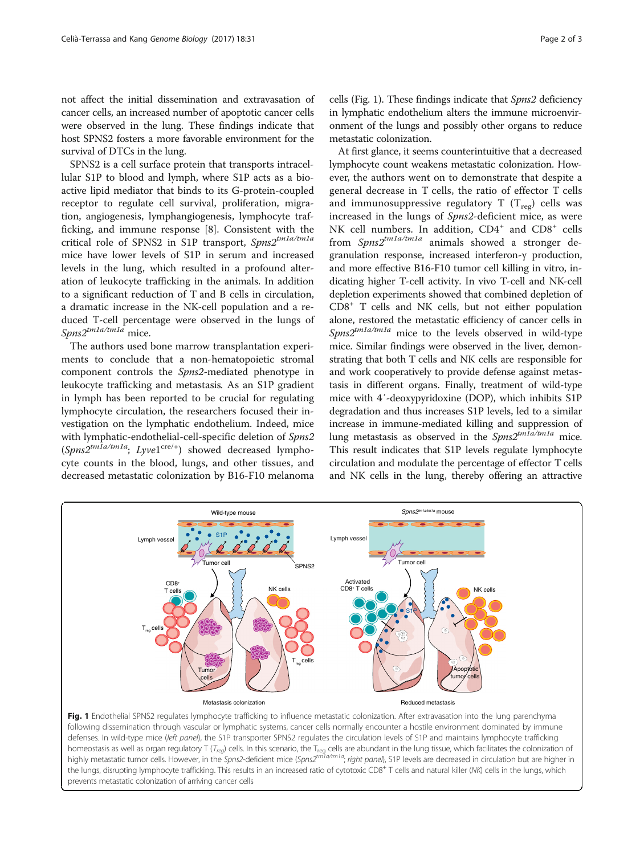<span id="page-1-0"></span>not affect the initial dissemination and extravasation of cancer cells, an increased number of apoptotic cancer cells were observed in the lung. These findings indicate that host SPNS2 fosters a more favorable environment for the survival of DTCs in the lung.

SPNS2 is a cell surface protein that transports intracellular S1P to blood and lymph, where S1P acts as a bioactive lipid mediator that binds to its G-protein-coupled receptor to regulate cell survival, proliferation, migration, angiogenesis, lymphangiogenesis, lymphocyte trafficking, and immune response [[8](#page-2-0)]. Consistent with the critical role of SPNS2 in S1P transport, Spns2tm1a/tm1a mice have lower levels of S1P in serum and increased levels in the lung, which resulted in a profound alteration of leukocyte trafficking in the animals. In addition to a significant reduction of T and B cells in circulation, a dramatic increase in the NK-cell population and a reduced T-cell percentage were observed in the lungs of  $Sms2^{tm1a/tm1a}$  mice.

The authors used bone marrow transplantation experiments to conclude that a non-hematopoietic stromal component controls the Spns2-mediated phenotype in leukocyte trafficking and metastasis. As an S1P gradient in lymph has been reported to be crucial for regulating lymphocyte circulation, the researchers focused their investigation on the lymphatic endothelium. Indeed, mice with lymphatic-endothelial-cell-specific deletion of Spns2  $(Spns2^{tmIa/tmIa}; Lyvel^{cre/+})$  showed decreased lymphocyte counts in the blood, lungs, and other tissues, and decreased metastatic colonization by B16-F10 melanoma cells (Fig. 1). These findings indicate that Spns2 deficiency in lymphatic endothelium alters the immune microenvironment of the lungs and possibly other organs to reduce metastatic colonization.

At first glance, it seems counterintuitive that a decreased lymphocyte count weakens metastatic colonization. However, the authors went on to demonstrate that despite a general decrease in T cells, the ratio of effector T cells and immunosuppressive regulatory  $T(T_{\text{reg}})$  cells was increased in the lungs of Spns2-deficient mice, as were NK cell numbers. In addition, CD4<sup>+</sup> and CD8<sup>+</sup> cells from  $Spns2^{tm1a/tm1a}$  animals showed a stronger degranulation response, increased interferon-γ production, and more effective B16-F10 tumor cell killing in vitro, indicating higher T-cell activity. In vivo T-cell and NK-cell depletion experiments showed that combined depletion of CD8+ T cells and NK cells, but not either population alone, restored the metastatic efficiency of cancer cells in  $Sons2^{tm1a/tm1a}$  mice to the levels observed in wild-type mice. Similar findings were observed in the liver, demonstrating that both T cells and NK cells are responsible for and work cooperatively to provide defense against metastasis in different organs. Finally, treatment of wild-type mice with 4′-deoxypyridoxine (DOP), which inhibits S1P degradation and thus increases S1P levels, led to a similar increase in immune-mediated killing and suppression of lung metastasis as observed in the  $SpnS2^{tmla/tm1a}$  mice. This result indicates that S1P levels regulate lymphocyte circulation and modulate the percentage of effector T cells and NK cells in the lung, thereby offering an attractive



Fig. 1 Endothelial SPNS2 regulates lymphocyte trafficking to influence metastatic colonization. After extravasation into the lung parenchyma following dissemination through vascular or lymphatic systems, cancer cells normally encounter a hostile environment dominated by immune defenses. In wild-type mice (left panel), the S1P transporter SPNS2 regulates the circulation levels of S1P and maintains lymphocyte trafficking homeostasis as well as organ regulatory T (T<sub>req</sub>) cells. In this scenario, the T<sub>req</sub> cells are abundant in the lung tissue, which facilitates the colonization of highly metastatic tumor cells. However, in the Spns2-deficient mice (Spns2<sup>tm1a/tm1a</sup>; right panel), S1P levels are decreased in circulation but are higher in the lungs, disrupting lymphocyte trafficking. This results in an increased ratio of cytotoxic CD8<sup>+</sup> T cells and natural killer (NK) cells in the lungs, which prevents metastatic colonization of arriving cancer cells